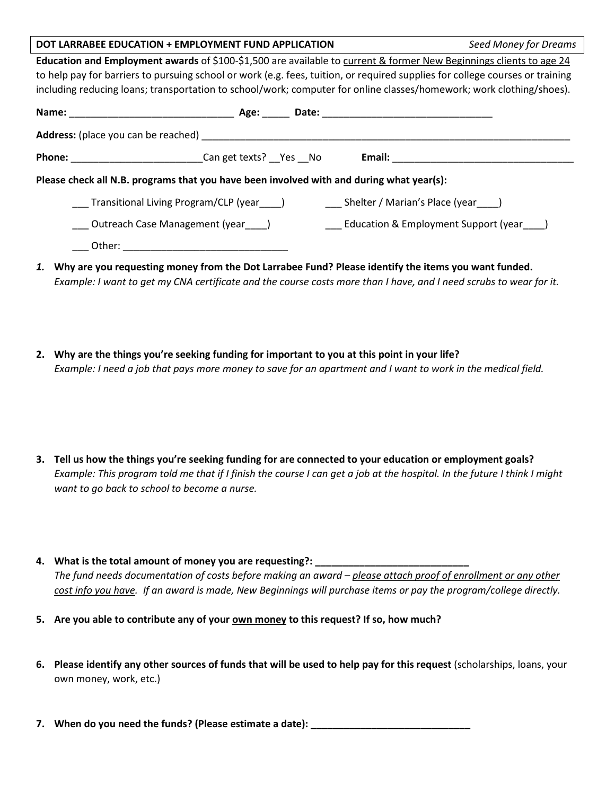## **DOT LARRABEE EDUCATION + EMPLOYMENT FUND APPLICATION** *Seed Money for Dreams*

**Education and Employment awards** of \$100-\$1,500 are available to current & former New Beginnings clients to age 24 to help pay for barriers to pursuing school or work (e.g. fees, tuition, or required supplies for college courses or training including reducing loans; transportation to school/work; computer for online classes/homework; work clothing/shoes).

|                                                                                          | Age: |  |                                                                                                                                                                                                                                |  |  |  |  |  |
|------------------------------------------------------------------------------------------|------|--|--------------------------------------------------------------------------------------------------------------------------------------------------------------------------------------------------------------------------------|--|--|--|--|--|
| <b>Address:</b> (place you can be reached)                                               |      |  |                                                                                                                                                                                                                                |  |  |  |  |  |
| <b>Phone:</b><br><b>Can get texts?</b> Yes No                                            |      |  | Email: Email: Email: Property of the Second Second Second Second Second Second Second Second Second Second Second Second Second Second Second Second Second Second Second Second Second Second Second Second Second Second Sec |  |  |  |  |  |
| Please check all N.B. programs that you have been involved with and during what year(s): |      |  |                                                                                                                                                                                                                                |  |  |  |  |  |
| Transitional Living Program/CLP (year_____)                                              |      |  | Shelter / Marian's Place (year )                                                                                                                                                                                               |  |  |  |  |  |
| ____ Outreach Case Management (year____)                                                 |      |  | <b>Education &amp; Employment Support (year</b> )                                                                                                                                                                              |  |  |  |  |  |
|                                                                                          |      |  |                                                                                                                                                                                                                                |  |  |  |  |  |
|                                                                                          |      |  | Albu are use researching means: from the Bot Larreless Fund? Blogge identificates items use under funded                                                                                                                       |  |  |  |  |  |

- *1.* **Why are you requesting money from the Dot Larrabee Fund? Please identify the items you want funded.**  *Example: I want to get my CNA certificate and the course costs more than I have, and I need scrubs to wear for it.*
- **2. Why are the things you're seeking funding for important to you at this point in your life?** *Example: I need a job that pays more money to save for an apartment and I want to work in the medical field.*
- **3. Tell us how the things you're seeking funding for are connected to your education or employment goals?**  *Example: This program told me that if I finish the course I can get a job at the hospital. In the future I think I might want to go back to school to become a nurse.*
- 4. What is the total amount of money you are requesting?: *The fund needs documentation of costs before making an award – please attach proof of enrollment or any other cost info you have. If an award is made, New Beginnings will purchase items or pay the program/college directly.*
- **5. Are you able to contribute any of your own money to this request? If so, how much?**
- **6. Please identify any other sources of funds that will be used to help pay for this request** (scholarships, loans, your own money, work, etc.)
- **7. When do you need the funds? (Please estimate a date): \_\_\_\_\_\_\_\_\_\_\_\_\_\_\_\_\_\_\_\_\_\_\_\_\_\_\_\_\_**